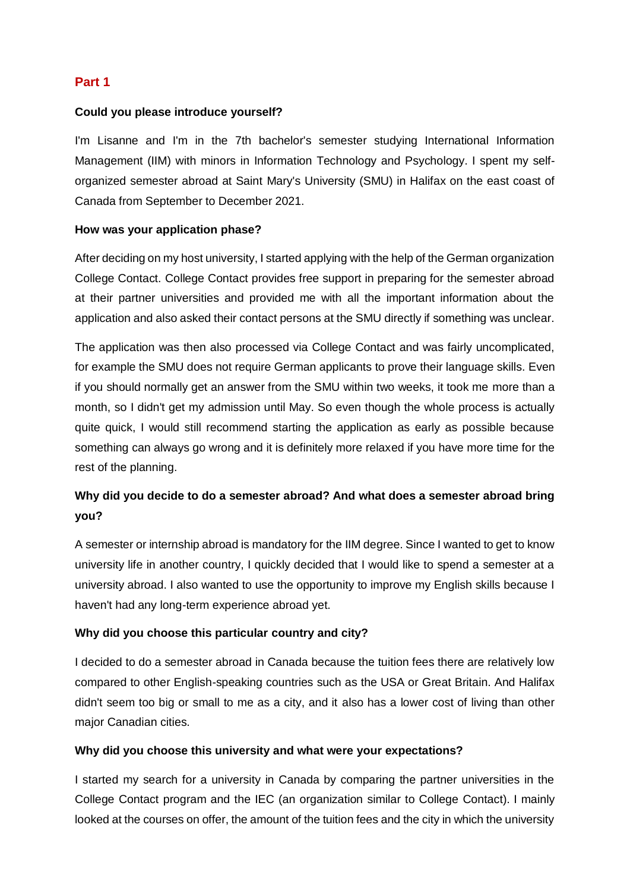# **Part 1**

## **Could you please introduce yourself?**

I'm Lisanne and I'm in the 7th bachelor's semester studying International Information Management (IIM) with minors in Information Technology and Psychology. I spent my selforganized semester abroad at Saint Mary's University (SMU) in Halifax on the east coast of Canada from September to December 2021.

### **How was your application phase?**

After deciding on my host university, I started applying with the help of the German organization College Contact. College Contact provides free support in preparing for the semester abroad at their partner universities and provided me with all the important information about the application and also asked their contact persons at the SMU directly if something was unclear.

The application was then also processed via College Contact and was fairly uncomplicated, for example the SMU does not require German applicants to prove their language skills. Even if you should normally get an answer from the SMU within two weeks, it took me more than a month, so I didn't get my admission until May. So even though the whole process is actually quite quick, I would still recommend starting the application as early as possible because something can always go wrong and it is definitely more relaxed if you have more time for the rest of the planning.

# **Why did you decide to do a semester abroad? And what does a semester abroad bring you?**

A semester or internship abroad is mandatory for the IIM degree. Since I wanted to get to know university life in another country, I quickly decided that I would like to spend a semester at a university abroad. I also wanted to use the opportunity to improve my English skills because I haven't had any long-term experience abroad yet.

### **Why did you choose this particular country and city?**

I decided to do a semester abroad in Canada because the tuition fees there are relatively low compared to other English-speaking countries such as the USA or Great Britain. And Halifax didn't seem too big or small to me as a city, and it also has a lower cost of living than other major Canadian cities.

### **Why did you choose this university and what were your expectations?**

I started my search for a university in Canada by comparing the partner universities in the College Contact program and the IEC (an organization similar to College Contact). I mainly looked at the courses on offer, the amount of the tuition fees and the city in which the university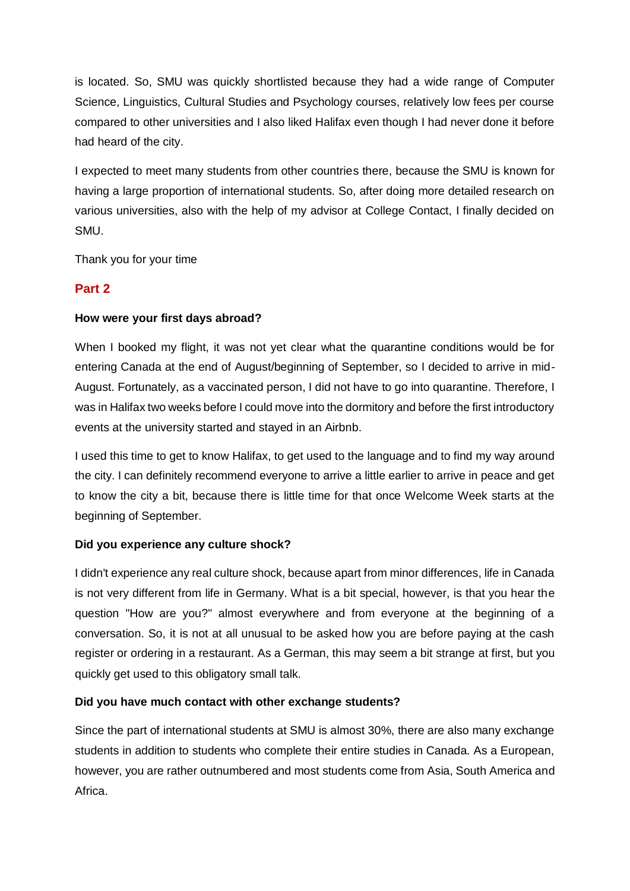is located. So, SMU was quickly shortlisted because they had a wide range of Computer Science, Linguistics, Cultural Studies and Psychology courses, relatively low fees per course compared to other universities and I also liked Halifax even though I had never done it before had heard of the city.

I expected to meet many students from other countries there, because the SMU is known for having a large proportion of international students. So, after doing more detailed research on various universities, also with the help of my advisor at College Contact, I finally decided on SMU.

Thank you for your time

# **Part 2**

## **How were your first days abroad?**

When I booked my flight, it was not yet clear what the quarantine conditions would be for entering Canada at the end of August/beginning of September, so I decided to arrive in mid-August. Fortunately, as a vaccinated person, I did not have to go into quarantine. Therefore, I was in Halifax two weeks before I could move into the dormitory and before the first introductory events at the university started and stayed in an Airbnb.

I used this time to get to know Halifax, to get used to the language and to find my way around the city. I can definitely recommend everyone to arrive a little earlier to arrive in peace and get to know the city a bit, because there is little time for that once Welcome Week starts at the beginning of September.

### **Did you experience any culture shock?**

I didn't experience any real culture shock, because apart from minor differences, life in Canada is not very different from life in Germany. What is a bit special, however, is that you hear the question "How are you?" almost everywhere and from everyone at the beginning of a conversation. So, it is not at all unusual to be asked how you are before paying at the cash register or ordering in a restaurant. As a German, this may seem a bit strange at first, but you quickly get used to this obligatory small talk.

# **Did you have much contact with other exchange students?**

Since the part of international students at SMU is almost 30%, there are also many exchange students in addition to students who complete their entire studies in Canada. As a European, however, you are rather outnumbered and most students come from Asia, South America and Africa.